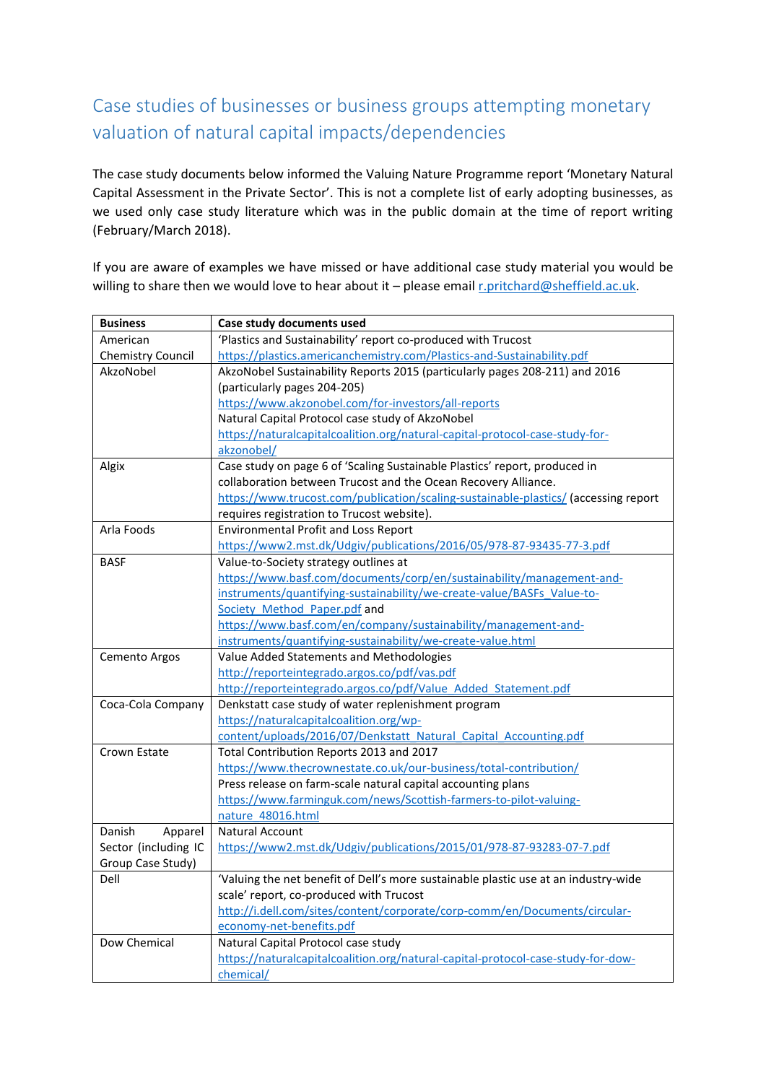## Case studies of businesses or business groups attempting monetary valuation of natural capital impacts/dependencies

The case study documents below informed the Valuing Nature Programme report 'Monetary Natural Capital Assessment in the Private Sector'. This is not a complete list of early adopting businesses, as we used only case study literature which was in the public domain at the time of report writing (February/March 2018).

If you are aware of examples we have missed or have additional case study material you would be willing to share then we would love to hear about it - please emai[l r.pritchard@sheffield.ac.uk.](mailto:r.pritchard@sheffield.ac.uk)

| <b>Business</b>          | Case study documents used                                                           |
|--------------------------|-------------------------------------------------------------------------------------|
| American                 | 'Plastics and Sustainability' report co-produced with Trucost                       |
| <b>Chemistry Council</b> | https://plastics.americanchemistry.com/Plastics-and-Sustainability.pdf              |
| AkzoNobel                | AkzoNobel Sustainability Reports 2015 (particularly pages 208-211) and 2016         |
|                          | (particularly pages 204-205)                                                        |
|                          | https://www.akzonobel.com/for-investors/all-reports                                 |
|                          | Natural Capital Protocol case study of AkzoNobel                                    |
|                          | https://naturalcapitalcoalition.org/natural-capital-protocol-case-study-for-        |
|                          | akzonobel/                                                                          |
| Algix                    | Case study on page 6 of 'Scaling Sustainable Plastics' report, produced in          |
|                          | collaboration between Trucost and the Ocean Recovery Alliance.                      |
|                          | https://www.trucost.com/publication/scaling-sustainable-plastics/ (accessing report |
|                          | requires registration to Trucost website).                                          |
| Arla Foods               | <b>Environmental Profit and Loss Report</b>                                         |
|                          | https://www2.mst.dk/Udgiv/publications/2016/05/978-87-93435-77-3.pdf                |
| <b>BASF</b>              | Value-to-Society strategy outlines at                                               |
|                          | https://www.basf.com/documents/corp/en/sustainability/management-and-               |
|                          | instruments/quantifying-sustainability/we-create-value/BASFs Value-to-              |
|                          | Society Method Paper.pdf and                                                        |
|                          | https://www.basf.com/en/company/sustainability/management-and-                      |
|                          | instruments/quantifying-sustainability/we-create-value.html                         |
| Cemento Argos            | Value Added Statements and Methodologies                                            |
|                          | http://reporteintegrado.argos.co/pdf/vas.pdf                                        |
|                          | http://reporteintegrado.argos.co/pdf/Value Added Statement.pdf                      |
| Coca-Cola Company        | Denkstatt case study of water replenishment program                                 |
|                          | https://naturalcapitalcoalition.org/wp-                                             |
|                          | content/uploads/2016/07/Denkstatt Natural Capital Accounting.pdf                    |
| Crown Estate             | Total Contribution Reports 2013 and 2017                                            |
|                          | https://www.thecrownestate.co.uk/our-business/total-contribution/                   |
|                          | Press release on farm-scale natural capital accounting plans                        |
|                          | https://www.farminguk.com/news/Scottish-farmers-to-pilot-valuing-                   |
|                          | nature 48016.html                                                                   |
| Danish<br>Apparel        | Natural Account                                                                     |
| Sector (including IC     | https://www2.mst.dk/Udgiv/publications/2015/01/978-87-93283-07-7.pdf                |
| Group Case Study)        |                                                                                     |
| Dell                     | 'Valuing the net benefit of Dell's more sustainable plastic use at an industry-wide |
|                          | scale' report, co-produced with Trucost                                             |
|                          | http://i.dell.com/sites/content/corporate/corp-comm/en/Documents/circular-          |
|                          | economy-net-benefits.pdf                                                            |
| Dow Chemical             | Natural Capital Protocol case study                                                 |
|                          | https://naturalcapitalcoalition.org/natural-capital-protocol-case-study-for-dow-    |
|                          | chemical/                                                                           |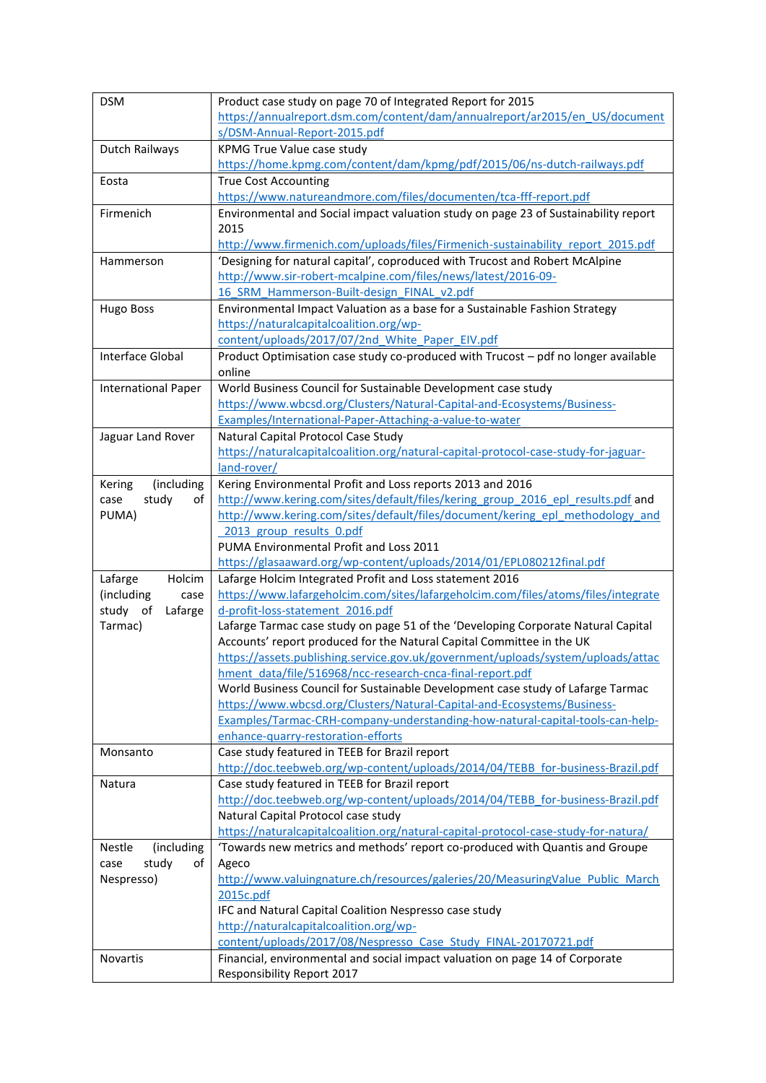| <b>DSM</b>                  | Product case study on page 70 of Integrated Report for 2015                                                                      |
|-----------------------------|----------------------------------------------------------------------------------------------------------------------------------|
|                             | https://annualreport.dsm.com/content/dam/annualreport/ar2015/en US/document                                                      |
|                             | s/DSM-Annual-Report-2015.pdf                                                                                                     |
| Dutch Railways              | KPMG True Value case study                                                                                                       |
|                             | https://home.kpmg.com/content/dam/kpmg/pdf/2015/06/ns-dutch-railways.pdf                                                         |
| Eosta                       | <b>True Cost Accounting</b>                                                                                                      |
|                             | https://www.natureandmore.com/files/documenten/tca-fff-report.pdf                                                                |
| Firmenich                   | Environmental and Social impact valuation study on page 23 of Sustainability report                                              |
|                             | 2015                                                                                                                             |
|                             | http://www.firmenich.com/uploads/files/Firmenich-sustainability_report_2015.pdf                                                  |
| Hammerson                   | 'Designing for natural capital', coproduced with Trucost and Robert McAlpine                                                     |
|                             | http://www.sir-robert-mcalpine.com/files/news/latest/2016-09-                                                                    |
|                             | 16 SRM Hammerson-Built-design FINAL v2.pdf                                                                                       |
| <b>Hugo Boss</b>            | Environmental Impact Valuation as a base for a Sustainable Fashion Strategy                                                      |
|                             | https://naturalcapitalcoalition.org/wp-                                                                                          |
|                             | content/uploads/2017/07/2nd White Paper EIV.pdf                                                                                  |
| <b>Interface Global</b>     | Product Optimisation case study co-produced with Trucost - pdf no longer available<br>online                                     |
| <b>International Paper</b>  | World Business Council for Sustainable Development case study                                                                    |
|                             | https://www.wbcsd.org/Clusters/Natural-Capital-and-Ecosystems/Business-                                                          |
|                             | Examples/International-Paper-Attaching-a-value-to-water                                                                          |
| Jaguar Land Rover           | Natural Capital Protocol Case Study                                                                                              |
|                             | https://naturalcapitalcoalition.org/natural-capital-protocol-case-study-for-jaguar-                                              |
|                             | land-rover/                                                                                                                      |
| (including<br>Kering        | Kering Environmental Profit and Loss reports 2013 and 2016                                                                       |
| study<br>of<br>case         | http://www.kering.com/sites/default/files/kering group 2016 epl results.pdf and                                                  |
| PUMA)                       | http://www.kering.com/sites/default/files/document/kering epl methodology and                                                    |
|                             | 2013 group results 0.pdf                                                                                                         |
|                             |                                                                                                                                  |
|                             | PUMA Environmental Profit and Loss 2011                                                                                          |
|                             |                                                                                                                                  |
| Lafarge<br>Holcim           | https://glasaaward.org/wp-content/uploads/2014/01/EPL080212final.pdf<br>Lafarge Holcim Integrated Profit and Loss statement 2016 |
| (including<br>case          | https://www.lafargeholcim.com/sites/lafargeholcim.com/files/atoms/files/integrate                                                |
| study of<br>Lafarge         | d-profit-loss-statement 2016.pdf                                                                                                 |
| Tarmac)                     | Lafarge Tarmac case study on page 51 of the 'Developing Corporate Natural Capital                                                |
|                             | Accounts' report produced for the Natural Capital Committee in the UK                                                            |
|                             | https://assets.publishing.service.gov.uk/government/uploads/system/uploads/attac                                                 |
|                             | hment_data/file/516968/ncc-research-cnca-final-report.pdf                                                                        |
|                             | World Business Council for Sustainable Development case study of Lafarge Tarmac                                                  |
|                             | https://www.wbcsd.org/Clusters/Natural-Capital-and-Ecosystems/Business-                                                          |
|                             | Examples/Tarmac-CRH-company-understanding-how-natural-capital-tools-can-help-                                                    |
|                             | enhance-quarry-restoration-efforts                                                                                               |
| Monsanto                    | Case study featured in TEEB for Brazil report                                                                                    |
|                             | http://doc.teebweb.org/wp-content/uploads/2014/04/TEBB for-business-Brazil.pdf                                                   |
| Natura                      | Case study featured in TEEB for Brazil report                                                                                    |
|                             | http://doc.teebweb.org/wp-content/uploads/2014/04/TEBB for-business-Brazil.pdf                                                   |
|                             | Natural Capital Protocol case study                                                                                              |
|                             | https://naturalcapitalcoalition.org/natural-capital-protocol-case-study-for-natura/                                              |
| (including<br><b>Nestle</b> | 'Towards new metrics and methods' report co-produced with Quantis and Groupe                                                     |
| study<br>case<br>οf         | Ageco                                                                                                                            |
| Nespresso)                  | http://www.valuingnature.ch/resources/galeries/20/MeasuringValue Public March                                                    |
|                             | 2015c.pdf                                                                                                                        |
|                             | IFC and Natural Capital Coalition Nespresso case study                                                                           |
|                             | http://naturalcapitalcoalition.org/wp-                                                                                           |
|                             | content/uploads/2017/08/Nespresso Case Study FINAL-20170721.pdf                                                                  |
| Novartis                    | Financial, environmental and social impact valuation on page 14 of Corporate<br>Responsibility Report 2017                       |